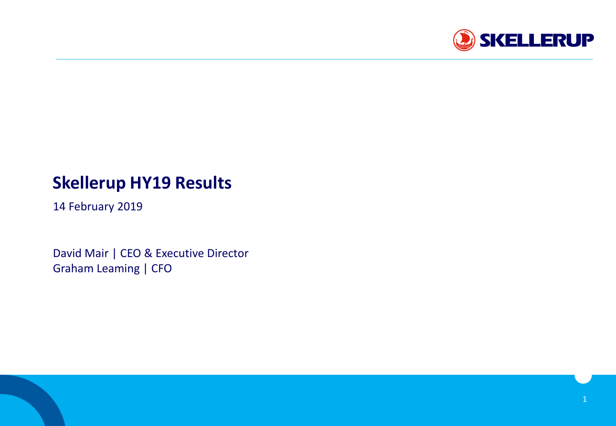

# **Skellerup HY19 Results**

14 February 2019

David Mair | CEO & Executive Director Graham Leaming | CFO

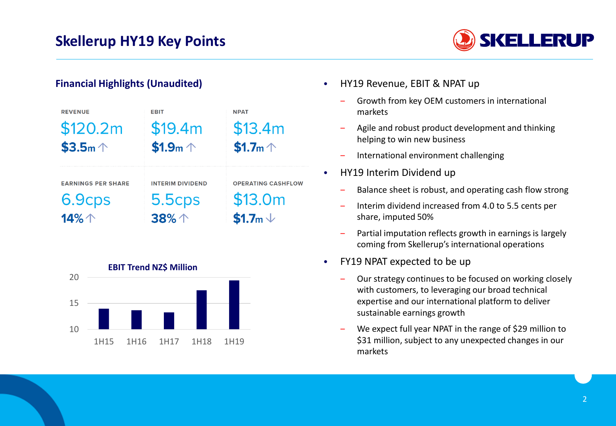

#### **Financial Highlights (Unaudited)**

| <b>REVENUE</b>            | <b>EBIT</b>             | <b>NPAT</b>               |
|---------------------------|-------------------------|---------------------------|
| \$120.2m                  | \$19.4m                 | \$13.4m                   |
| $$3.5m \uparrow$          | \$1.9m $\uparrow$       | \$1.7m $\uparrow$         |
|                           |                         |                           |
| <b>EARNINGS PER SHARE</b> | <b>INTERIM DIVIDEND</b> | <b>OPERATING CASHFLOW</b> |
| 6.9cps                    | $5.5$ cps               | \$13.0m                   |
| 14%个                      | 38%个                    | \$1.7m $\vee$             |



- HY19 Revenue, EBIT & NPAT up
	- ‒ Growth from key OEM customers in international markets
	- ‒ Agile and robust product development and thinking helping to win new business
	- ‒ International environment challenging
- HY19 Interim Dividend up
	- ‒ Balance sheet is robust, and operating cash flow strong
	- ‒ Interim dividend increased from 4.0 to 5.5 cents per share, imputed 50%
	- ‒ Partial imputation reflects growth in earnings is largely coming from Skellerup's international operations
- FY19 NPAT expected to be up
	- ‒ Our strategy continues to be focused on working closely with customers, to leveraging our broad technical expertise and our international platform to deliver sustainable earnings growth
	- We expect full year NPAT in the range of \$29 million to \$31 million, subject to any unexpected changes in our markets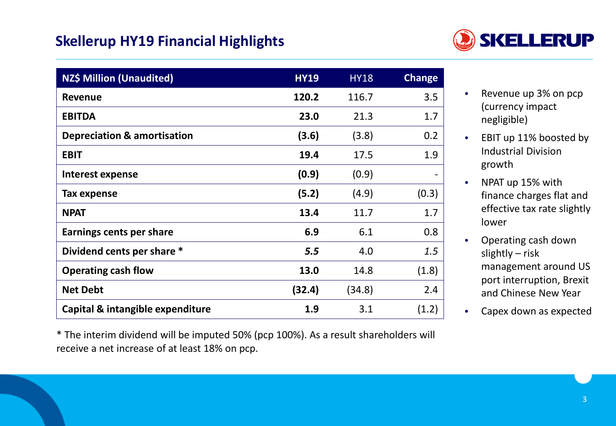## **Skellerup HY19 Financial Highlights**



| <b>NZ\$ Million (Unaudited)</b>        | <b>HY19</b> | <b>HY18</b> | <b>Change</b> |
|----------------------------------------|-------------|-------------|---------------|
| <b>Revenue</b>                         | 120.2       | 116.7       | 3.5           |
| <b>EBITDA</b>                          | 23.0        | 21.3        | 1.7           |
| <b>Depreciation &amp; amortisation</b> | (3.6)       | (3.8)       | 0.2           |
| <b>EBIT</b>                            | 19.4        | 17.5        | 1.9           |
| Interest expense                       | (0.9)       | (0.9)       |               |
| Tax expense                            | (5.2)       | (4.9)       | (0.3)         |
| <b>NPAT</b>                            | 13.4        | 11.7        | 1.7           |
| Earnings cents per share               | 6.9         | 6.1         | 0.8           |
| Dividend cents per share *             | 5.5         | 4.0         | 1.5           |
| <b>Operating cash flow</b>             | 13.0        | 14.8        | (1.8)         |
| <b>Net Debt</b>                        | (32.4)      | (34.8)      | 2.4           |
| Capital & intangible expenditure       | 1.9         | 3.1         | (1.2)         |

\* The interim dividend will be imputed 50% (pcp 100%). As a result shareholders will receive a net increase of at least 18% on pcp.

- Revenue up 3% on pcp (currency impact negligible)
- EBIT up 11% boosted by Industrial Division growth
- NPAT up 15% with finance charges flat and effective tax rate slightly lower
- Operating cash down slightly – risk management around US port interruption, Brexit and Chinese New Year
- Capex down as expected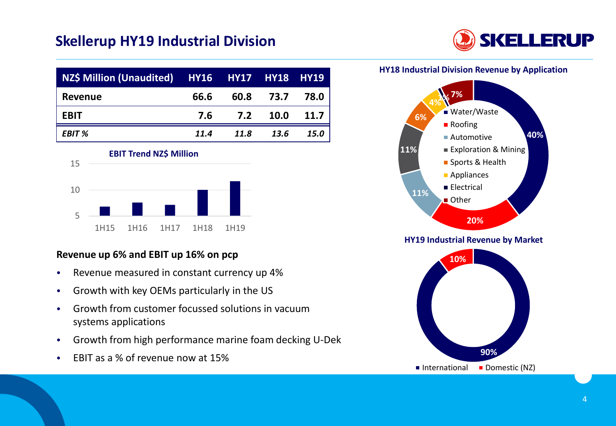## **Skellerup HY19 Industrial Division**



| NZ\$ Million (Unaudited) HY16 HY17 HY18 HY19 |      |      |      |             |
|----------------------------------------------|------|------|------|-------------|
| Revenue                                      | 66.6 | 60.8 | 73.7 | 78.0        |
| <b>EBIT</b>                                  | 7.6  | 7.2  | 10.0 | 11.7        |
| <b>EBIT %</b>                                | 11.4 | 11.8 | 13.6 | <b>15.0</b> |



#### **Revenue up 6% and EBIT up 16% on pcp**

- Revenue measured in constant currency up 4%
- Growth with key OEMs particularly in the US
- Growth from customer focussed solutions in vacuum systems applications
- Growth from high performance marine foam decking U-Dek
- EBIT as a % of revenue now at 15%

#### **HY18 Industrial Division Revenue by Application**



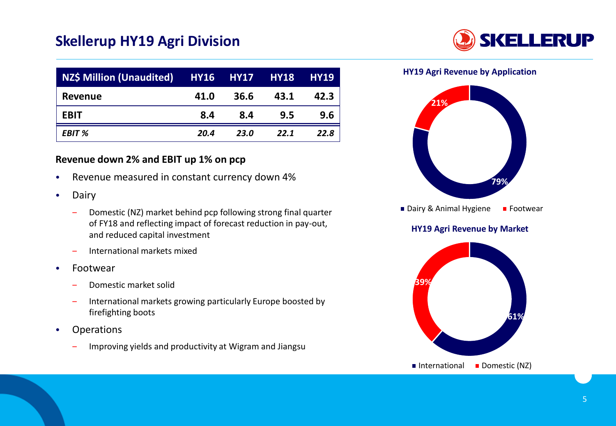### **Skellerup HY19 Agri Division**



| NZ\$ Million (Unaudited) HY16 HY17 HY18 |      |      |      | <b>HY19</b> |
|-----------------------------------------|------|------|------|-------------|
| <b>Revenue</b>                          | 41.0 | 36.6 | 43.1 | 42.3        |
| <b>EBIT</b>                             | 8.4  | 8.4  | 9.5  | 9.6         |
| EBIT %                                  | 20.4 | 23.0 | 22.1 | 22.8        |

#### **Revenue down 2% and EBIT up 1% on pcp**

- Revenue measured in constant currency down 4%
- Dairy
	- Domestic (NZ) market behind pcp following strong final quarter of FY18 and reflecting impact of forecast reduction in pay-out, and reduced capital investment
	- ‒ International markets mixed
- Footwear
	- ‒ Domestic market solid
	- ‒ International markets growing particularly Europe boosted by firefighting boots
- Operations
	- ‒ Improving yields and productivity at Wigram and Jiangsu

**HY19 Agri Revenue by Application**



Dairy & Animal Hygiene Footwear

#### **HY19 Agri Revenue by Market**

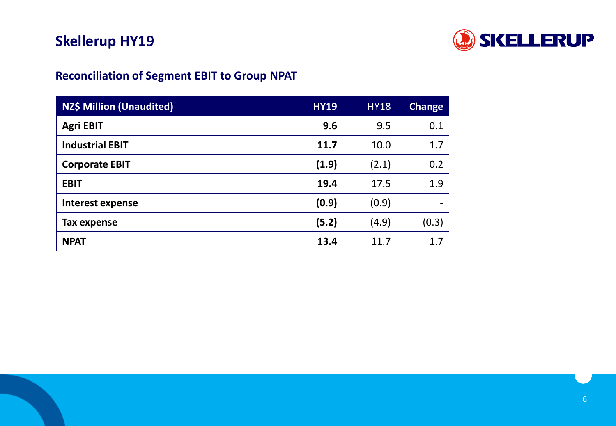

### **Reconciliation of Segment EBIT to Group NPAT**

| <b>NZ\$ Million (Unaudited)</b> | <b>HY19</b> | <b>HY18</b> | <b>Change</b>            |
|---------------------------------|-------------|-------------|--------------------------|
| <b>Agri EBIT</b>                | 9.6         | 9.5         | 0.1                      |
| <b>Industrial EBIT</b>          | 11.7        | 10.0        | 1.7                      |
| <b>Corporate EBIT</b>           | (1.9)       | (2.1)       | 0.2                      |
| <b>EBIT</b>                     | 19.4        | 17.5        | 1.9                      |
| <b>Interest expense</b>         | (0.9)       | (0.9)       | $\overline{\phantom{a}}$ |
| Tax expense                     | (5.2)       | (4.9)       | (0.3)                    |
| <b>NPAT</b>                     | 13.4        | 11.7        | 1.7                      |